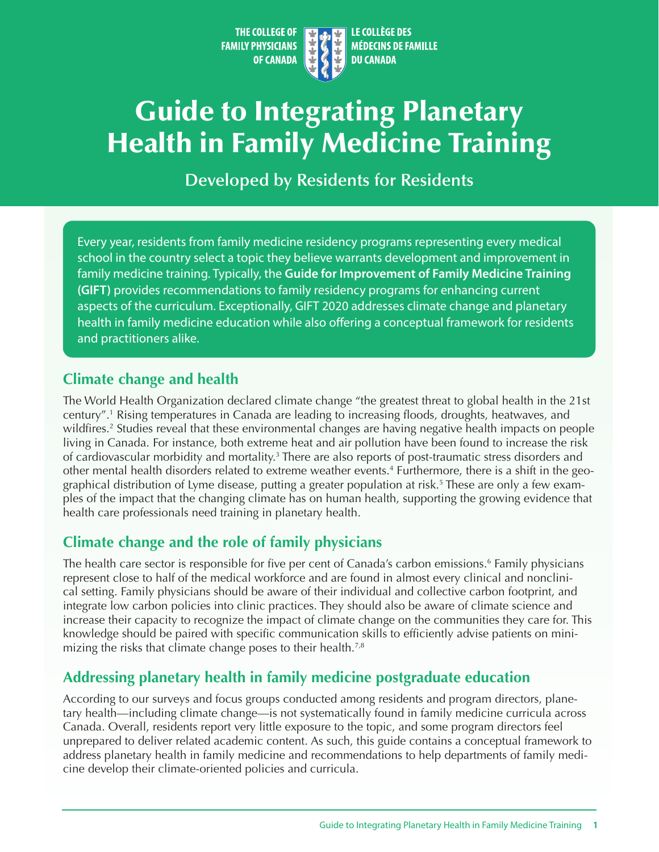THE COLLEGE OF LE COLLÈGE DES **MÉDECINS DE FAMILLE FAMILY PHYSICIANS OF CANADA DU CANADA** 

# <span id="page-0-0"></span>Guide to Integrating Planetary Health in Family Medicine Training

**Developed by Residents for Residents**

Every year, residents from family medicine residency programs representing every medical school in the country select a topic they believe warrants development and improvement in family medicine training. Typically, the **Guide for Improvement of Family Medicine Training (GIFT)** provides recommendations to family residency programs for enhancing current aspects of the curriculum. Exceptionally, GIFT 2020 addresses climate change and planetary health in family medicine education while also offering a conceptual framework for residents and practitioners alike.

#### **Climate change and health**

The World Health Organization declared climate change "the greatest threat to global health in the 21st century".[1](#page-2-0) Rising temperatures in Canada are leading to increasing floods, droughts, heatwaves, and wildfires.<sup>[2](#page-2-0)</sup> Studies reveal that these environmental changes are having negative health impacts on people living in Canada. For instance, both extreme heat and air pollution have been found to increase the risk of cardiovascular morbidity and mortality.<sup>3</sup> There are also reports of post-traumatic stress disorders and other mental health disorders related to extreme weather events[.4](#page-2-0) Furthermore, there is a shift in the geographical distribution of Lyme disease, putting a greater population at risk.<sup>5</sup> These are only a few examples of the impact that the changing climate has on human health, supporting the growing evidence that health care professionals need training in planetary health.

## **Climate change and the role of family physicians**

The health care sector is responsible for five per cent of Canada's carbon emissions.<sup>[6](#page-2-0)</sup> Family physicians represent close to half of the medical workforce and are found in almost every clinical and nonclinical setting. Family physicians should be aware of their individual and collective carbon footprint, and integrate low carbon policies into clinic practices. They should also be aware of climate science and increase their capacity to recognize the impact of climate change on the communities they care for. This knowledge should be paired with specific communication skills to efficiently advise patients on mini-mizing the risks that climate change poses to their health.<sup>[7,8](#page-2-0)</sup>

# **Addressing planetary health in family medicine postgraduate education**

According to our surveys and focus groups conducted among residents and program directors, planetary health—including climate change—is not systematically found in family medicine curricula across Canada. Overall, residents report very little exposure to the topic, and some program directors feel unprepared to deliver related academic content. As such, this guide contains a conceptual framework to address planetary health in family medicine and recommendations to help departments of family medicine develop their climate-oriented policies and curricula.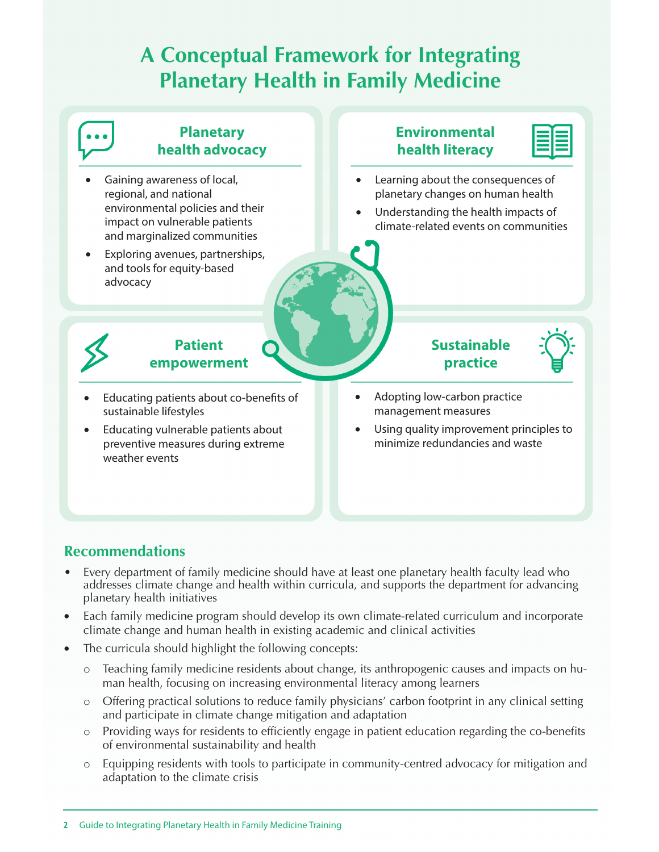# **A Conceptual Framework for Integrating Planetary Health in Family Medicine**



#### **Recommendations**

- Every department of family medicine should have at least one planetary health faculty lead who addresses climate change and health within curricula, and supports the department for advancing planetary health initiatives
- Each family medicine program should develop its own climate-related curriculum and incorporate climate change and human health in existing academic and clinical activities
- The curricula should highlight the following concepts:
	- o Teaching family medicine residents about change, its anthropogenic causes and impacts on human health, focusing on increasing environmental literacy among learners
	- o Offering practical solutions to reduce family physicians' carbon footprint in any clinical setting and participate in climate change mitigation and adaptation
	- o Providing ways for residents to efficiently engage in patient education regarding the co-benefits of environmental sustainability and health
	- o Equipping residents with tools to participate in community-centred advocacy for mitigation and adaptation to the climate crisis